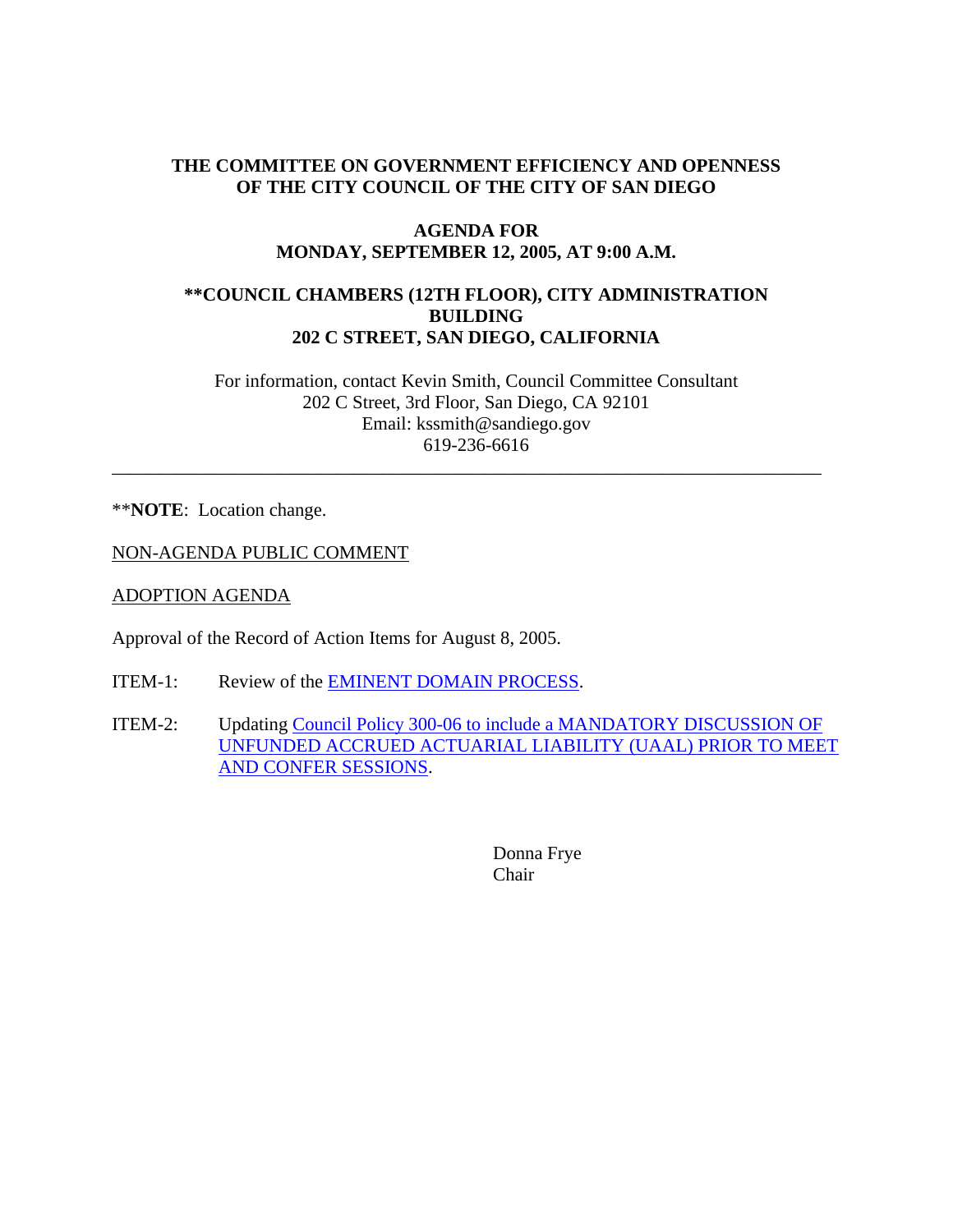# **THE COMMITTEE ON GOVERNMENT EFFICIENCY AND OPENNESS OF THE CITY COUNCIL OF THE CITY OF SAN DIEGO**

### **AGENDA FOR MONDAY, SEPTEMBER 12, 2005, AT 9:00 A.M.**

## **\*\*COUNCIL CHAMBERS (12TH FLOOR), CITY ADMINISTRATION BUILDING 202 C STREET, SAN DIEGO, CALIFORNIA**

For information, contact Kevin Smith, Council Committee Consultant 202 C Street, 3rd Floor, San Diego, CA 92101 Email: kssmith@sandiego.gov 619-236-6616

\_\_\_\_\_\_\_\_\_\_\_\_\_\_\_\_\_\_\_\_\_\_\_\_\_\_\_\_\_\_\_\_\_\_\_\_\_\_\_\_\_\_\_\_\_\_\_\_\_\_\_\_\_\_\_\_\_\_\_\_\_\_\_\_\_\_\_\_\_\_\_\_\_\_\_\_

\*\***NOTE**: Location change.

NON-AGENDA PUBLIC COMMENT

ADOPTION AGENDA

Approval of the Record of Action Items for August 8, 2005.

- ITEM-1: Review of the EMINENT DOMAIN PROCESS.
- ITEM-2: Updating Council Policy 300-06 to include a MANDATORY DISCUSSION OF UNFUNDED ACCRUED ACTUARIAL LIABILITY (UAAL) PRIOR TO MEET AND CONFER SESSIONS.

Donna Frye Chair